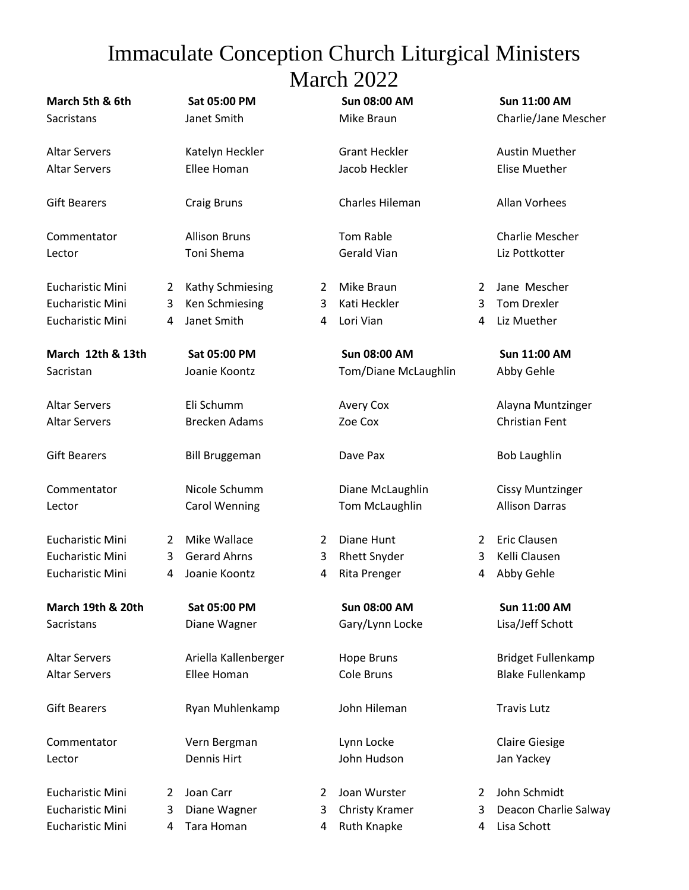## Immaculate Conception Church Liturgical Ministers March 2022

| March 5th & 6th<br>Sacristans                                   |             | Sat 05:00 PM<br>Janet Smith                          |             | <b>Sun 08:00 AM</b><br>Mike Braun                    |             | Sun 11:00 AM<br>Charlie/Jane Mescher                 |
|-----------------------------------------------------------------|-------------|------------------------------------------------------|-------------|------------------------------------------------------|-------------|------------------------------------------------------|
| <b>Altar Servers</b><br><b>Altar Servers</b>                    |             | Katelyn Heckler<br>Ellee Homan                       |             | <b>Grant Heckler</b><br>Jacob Heckler                |             | <b>Austin Muether</b><br><b>Elise Muether</b>        |
| <b>Gift Bearers</b>                                             |             | <b>Craig Bruns</b>                                   |             | Charles Hileman                                      |             | Allan Vorhees                                        |
| Commentator<br>Lector                                           |             | <b>Allison Bruns</b><br><b>Toni Shema</b>            |             | <b>Tom Rable</b><br><b>Gerald Vian</b>               |             | Charlie Mescher<br>Liz Pottkotter                    |
| Eucharistic Mini<br><b>Eucharistic Mini</b><br>Eucharistic Mini | 2<br>3<br>4 | Kathy Schmiesing<br>Ken Schmiesing<br>Janet Smith    | 2<br>3<br>4 | Mike Braun<br>Kati Heckler<br>Lori Vian              | 2<br>3<br>4 | Jane Mescher<br><b>Tom Drexler</b><br>Liz Muether    |
| March 12th & 13th<br>Sacristan                                  |             | Sat 05:00 PM<br>Joanie Koontz                        |             | <b>Sun 08:00 AM</b><br>Tom/Diane McLaughlin          |             | <b>Sun 11:00 AM</b><br>Abby Gehle                    |
| <b>Altar Servers</b><br><b>Altar Servers</b>                    |             | Eli Schumm<br><b>Brecken Adams</b>                   |             | <b>Avery Cox</b><br>Zoe Cox                          |             | Alayna Muntzinger<br>Christian Fent                  |
| <b>Gift Bearers</b>                                             |             | <b>Bill Bruggeman</b>                                |             | Dave Pax                                             |             | <b>Bob Laughlin</b>                                  |
| Commentator<br>Lector                                           |             | Nicole Schumm<br><b>Carol Wenning</b>                |             | Diane McLaughlin<br>Tom McLaughlin                   |             | <b>Cissy Muntzinger</b><br><b>Allison Darras</b>     |
| Eucharistic Mini<br>Eucharistic Mini<br>Eucharistic Mini        | 2<br>3<br>4 | Mike Wallace<br><b>Gerard Ahrns</b><br>Joanie Koontz | 2<br>3<br>4 | Diane Hunt<br><b>Rhett Snyder</b><br>Rita Prenger    | 2<br>3<br>4 | <b>Eric Clausen</b><br>Kelli Clausen<br>Abby Gehle   |
| March 19th & 20th<br>Sacristans                                 |             | Sat 05:00 PM<br>Diane Wagner                         |             | <b>Sun 08:00 AM</b><br>Gary/Lynn Locke               |             | <b>Sun 11:00 AM</b><br>Lisa/Jeff Schott              |
| <b>Altar Servers</b><br><b>Altar Servers</b>                    |             | Ariella Kallenberger<br>Ellee Homan                  |             | <b>Hope Bruns</b><br>Cole Bruns                      |             | <b>Bridget Fullenkamp</b><br><b>Blake Fullenkamp</b> |
| <b>Gift Bearers</b>                                             |             | Ryan Muhlenkamp                                      |             | John Hileman                                         |             | <b>Travis Lutz</b>                                   |
| Commentator<br>Lector                                           |             | Vern Bergman<br><b>Dennis Hirt</b>                   |             | Lynn Locke<br>John Hudson                            |             | <b>Claire Giesige</b><br>Jan Yackey                  |
| <b>Eucharistic Mini</b><br>Eucharistic Mini<br>Eucharistic Mini | 2<br>3<br>4 | Joan Carr<br>Diane Wagner<br>Tara Homan              | 2<br>3<br>4 | Joan Wurster<br><b>Christy Kramer</b><br>Ruth Knapke | 2<br>3<br>4 | John Schmidt<br>Deacon Charlie Salway<br>Lisa Schott |